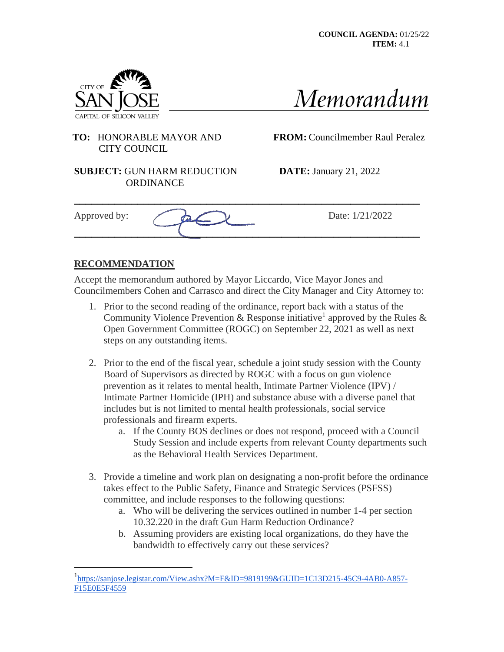



## **TO:** HONORABLE MAYOR AND **FROM:** Councilmember Raul Peralez CITY COUNCIL

#### **SUBJECT:** GUN HARM REDUCTION **DATE:** January 21, 2022 **ORDINANCE**

| Approved by: | Date: $1/$<br>'1/2022 |
|--------------|-----------------------|
|              |                       |

# **RECOMMENDATION**

Accept the memorandum authored by Mayor Liccardo, Vice Mayor Jones and Councilmembers Cohen and Carrasco and direct the City Manager and City Attorney to:

**\_\_\_\_\_\_\_\_\_\_\_\_\_\_\_\_\_\_\_\_\_\_\_\_\_\_\_\_\_\_\_\_\_\_\_\_\_\_\_\_\_\_\_\_\_\_\_\_\_\_\_\_\_\_\_\_\_\_\_\_**

- 1. Prior to the second reading of the ordinance, report back with a status of the Community Violence Prevention & Response initiative<sup>1</sup> approved by the Rules & Open Government Committee (ROGC) on September 22, 2021 as well as next steps on any outstanding items.
- 2. Prior to the end of the fiscal year, schedule a joint study session with the County Board of Supervisors as directed by ROGC with a focus on gun violence prevention as it relates to mental health, Intimate Partner Violence (IPV) / Intimate Partner Homicide (IPH) and substance abuse with a diverse panel that includes but is not limited to mental health professionals, social service professionals and firearm experts.
	- a. If the County BOS declines or does not respond, proceed with a Council Study Session and include experts from relevant County departments such as the Behavioral Health Services Department.
- 3. Provide a timeline and work plan on designating a non-profit before the ordinance takes effect to the Public Safety, Finance and Strategic Services (PSFSS) committee, and include responses to the following questions:
	- a. Who will be delivering the services outlined in number 1-4 per section 10.32.220 in the draft Gun Harm Reduction Ordinance?
	- b. Assuming providers are existing local organizations, do they have the bandwidth to effectively carry out these services?

<sup>1</sup> [https://sanjose.legistar.com/View.ashx?M=F&ID=9819199&GUID=1C13D215-45C9-4AB0-A857-](https://sanjose.legistar.com/View.ashx?M=F&ID=9819199&GUID=1C13D215-45C9-4AB0-A857-F15E0E5F4559) [F15E0E5F4559](https://sanjose.legistar.com/View.ashx?M=F&ID=9819199&GUID=1C13D215-45C9-4AB0-A857-F15E0E5F4559)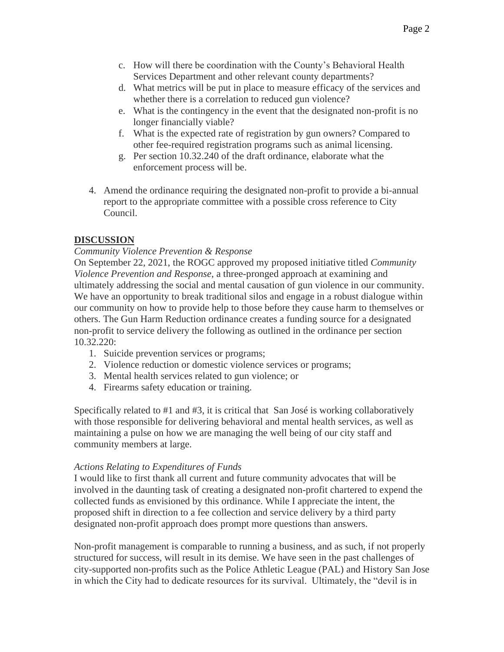- c. How will there be coordination with the County's Behavioral Health Services Department and other relevant county departments?
- d. What metrics will be put in place to measure efficacy of the services and whether there is a correlation to reduced gun violence?
- e. What is the contingency in the event that the designated non-profit is no longer financially viable?
- f. What is the expected rate of registration by gun owners? Compared to other fee-required registration programs such as animal licensing.
- g. Per section 10.32.240 of the draft ordinance, elaborate what the enforcement process will be.
- 4. Amend the ordinance requiring the designated non-profit to provide a bi-annual report to the appropriate committee with a possible cross reference to City Council.

## **DISCUSSION**

### *Community Violence Prevention & Response*

On September 22, 2021, the ROGC approved my proposed initiative titled *Community Violence Prevention and Response*, a three-pronged approach at examining and ultimately addressing the social and mental causation of gun violence in our community. We have an opportunity to break traditional silos and engage in a robust dialogue within our community on how to provide help to those before they cause harm to themselves or others. The Gun Harm Reduction ordinance creates a funding source for a designated non-profit to service delivery the following as outlined in the ordinance per section 10.32.220:

- 1. Suicide prevention services or programs;
- 2. Violence reduction or domestic violence services or programs;
- 3. Mental health services related to gun violence; or
- 4. Firearms safety education or training.

Specifically related to #1 and #3, it is critical that San José is working collaboratively with those responsible for delivering behavioral and mental health services, as well as maintaining a pulse on how we are managing the well being of our city staff and community members at large.

### *Actions Relating to Expenditures of Funds*

I would like to first thank all current and future community advocates that will be involved in the daunting task of creating a designated non-profit chartered to expend the collected funds as envisioned by this ordinance. While I appreciate the intent, the proposed shift in direction to a fee collection and service delivery by a third party designated non-profit approach does prompt more questions than answers.

Non-profit management is comparable to running a business, and as such, if not properly structured for success, will result in its demise. We have seen in the past challenges of city-supported non-profits such as the Police Athletic League (PAL) and History San Jose in which the City had to dedicate resources for its survival. Ultimately, the "devil is in